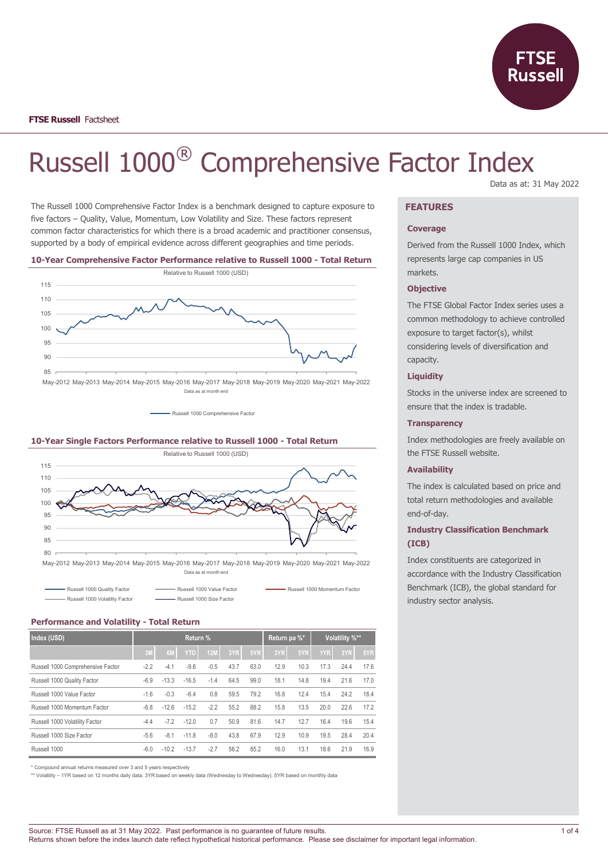

# Russell 1000® Comprehensive Factor Index Data as at: 31 May 2022

The Russell 1000 Comprehensive Factor Index is a benchmark designed to capture exposure to five factors – Quality, Value, Momentum, Low Volatility and Size. These factors represent common factor characteristics for which there is a broad academic and practitioner consensus, supported by a body of empirical evidence across different geographies and time periods.

#### **10-Year Comprehensive Factor Performance relative to Russell 1000 - Total Return**



May-2012 May-2013 May-2014 May-2015 May-2016 May-2017 May-2018 May-2019 May-2020 May-2021 May-2022 Data as at month end

- Russell 1000 Comprehensive Factor

#### **10-Year Single Factors Performance relative to Russell 1000 - Total Return**



May-2012 May-2013 May-2014 May-2015 May-2016 May-2017 May-2018 May-2019 May-2020 May-2021 May-2022 Data as at month end

| Russell 1000 Quality Factor    | - Russell 1000 Value Factor | Russell 1000 Momentum Factor |
|--------------------------------|-----------------------------|------------------------------|
| Russell 1000 Volatility Factor | Russell 1000 Size Factor    |                              |

#### **Performance and Volatility - Total Return**

| Index (USD)                       | Return % |                |            |            |      |      | Return pa %* |      | Volatility %** |      |      |
|-----------------------------------|----------|----------------|------------|------------|------|------|--------------|------|----------------|------|------|
|                                   | 3M       | 6 <sub>N</sub> | <b>YTD</b> | <b>12M</b> | 3YR  | 5YR  | 3YR          | 5YR  | 1YR            | 3YR  | 5YR  |
| Russell 1000 Comprehensive Factor | $-2.2$   | $-4.1$         | $-9.6$     | $-0.5$     | 43.7 | 63.0 | 12.9         | 10.3 | 17.3           | 24.4 | 17.6 |
| Russell 1000 Quality Factor       | $-6.9$   | $-13.3$        | $-16.5$    | $-1.4$     | 64.5 | 99.0 | 18.1         | 14.8 | 19.4           | 21.6 | 17.0 |
| Russell 1000 Value Factor         | $-1.6$   | $-0.3$         | $-6.4$     | 0.8        | 59.5 | 79.2 | 16.8         | 12.4 | 15.4           | 24.2 | 18.4 |
| Russell 1000 Momentum Factor      | $-6.8$   | $-12.6$        | $-15.2$    | $-2.2$     | 55.2 | 88.2 | 15.8         | 13.5 | 20.0           | 22.6 | 17.2 |
| Russell 1000 Volatility Factor    | $-4.4$   | $-7.2$         | $-12.0$    | 0.7        | 50.9 | 81.6 | 14.7         | 12.7 | 16.4           | 19.6 | 15.4 |
| Russell 1000 Size Factor          | $-5.6$   | $-8.1$         | $-11.8$    | $-8.0$     | 43.8 | 67.9 | 12.9         | 10.9 | 19.5           | 28.4 | 20.4 |
| Russell 1000                      | $-6.0$   | $-10.2$        | $-13.7$    | $-2.7$     | 56.2 | 85.2 | 16.0         | 13.1 | 18.6           | 21.9 | 16.9 |

\* Compound annual returns measured over 3 and 5 years respectively

\*\* Volatility – 1YR based on 12 months daily data. 3YR based on weekly data (Wednesday to Wednesday). 5YR based on monthly data

## **FEATURES**

#### **Coverage**

Derived from the Russell 1000 Index, which represents large cap companies in US markets.

#### **Objective**

The FTSE Global Factor Index series uses a common methodology to achieve controlled exposure to target factor(s), whilst considering levels of diversification and capacity.

### **Liquidity**

Stocks in the universe index are screened to ensure that the index is tradable.

#### **Transparency**

Index methodologies are freely available on the FTSE Russell website.

#### **Availability**

The index is calculated based on price and total return methodologies and available end-of-day.

## **Industry Classification Benchmark (ICB)**

Index constituents are categorized in accordance with the Industry Classification Benchmark (ICB), the global standard for industry sector analysis.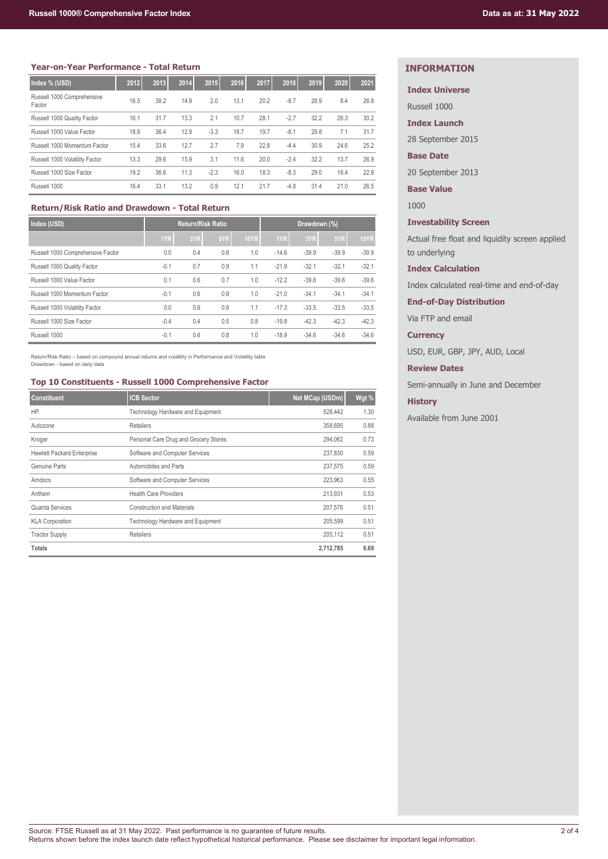## **Year-on-Year Performance - Total Return**

| Index % (USD)                        | 2012 | 2013 | 2014 | 2015   | 2016 | 2017 | 2018   | 2019 | 2020 | 2021 |
|--------------------------------------|------|------|------|--------|------|------|--------|------|------|------|
| Russell 1000 Comprehensive<br>Factor | 16.5 | 38.2 | 14.9 | 2.0    | 13.1 | 20.2 | $-8.7$ | 28.9 | 8.4  | 26.8 |
| Russell 1000 Quality Factor          | 16.1 | 31.7 | 13.3 | 2.1    | 10.7 | 28.1 | $-2.7$ | 32.2 | 26.3 | 30.2 |
| Russell 1000 Value Factor            | 18.8 | 36.4 | 12.9 | $-3.3$ | 18.7 | 19.7 | $-8.1$ | 29.8 | 7.1  | 31.7 |
| Russell 1000 Momentum Factor         | 15.4 | 33.6 | 12.7 | 2.7    | 7.9  | 22.8 | $-4.4$ | 30.9 | 24.6 | 25.2 |
| Russell 1000 Volatility Factor       | 13.3 | 29.6 | 15.9 | 3.1    | 11.6 | 20.0 | $-2.4$ | 32.2 | 13.7 | 26.9 |
| Russell 1000 Size Factor             | 19.2 | 36.6 | 11.3 | $-2.3$ | 16.0 | 18.3 | $-8.3$ | 29.0 | 16.4 | 22.8 |
| Russell 1000                         | 16.4 | 33.1 | 13.2 | 0.9    | 12.1 | 21.7 | $-4.8$ | 31.4 | 21.0 | 26.5 |

## **Return/Risk Ratio and Drawdown - Total Return**

| Index (USD)                       |        | <b>Return/Risk Ratio</b> |     |             | Drawdown (%) |         |         |             |
|-----------------------------------|--------|--------------------------|-----|-------------|--------------|---------|---------|-------------|
|                                   | 1YR    | 3YR                      | 5YR | <b>10YR</b> | 1YR          | 3YR     | 5YR     | <b>10YR</b> |
| Russell 1000 Comprehensive Factor | 0.0    | 0.4                      | 0.6 | 1.0         | $-14.6$      | $-39.9$ | $-39.9$ | $-39.9$     |
| Russell 1000 Quality Factor       | $-0.1$ | 0.7                      | 0.9 | 1.1         | $-21.9$      | $-32.1$ | $-32.1$ | $-32.1$     |
| Russell 1000 Value Factor         | 0.1    | 0.6                      | 0.7 | 1.0         | $-12.2$      | $-39.6$ | $-39.6$ | $-39.6$     |
| Russell 1000 Momentum Factor      | $-0.1$ | 0.6                      | 0.8 | 1.0         | $-21.0$      | $-34.1$ | $-34.1$ | $-34.1$     |
| Russell 1000 Volatility Factor    | 0.0    | 0.6                      | 0.8 | 1.1         | $-17.3$      | $-33.5$ | $-33.5$ | $-33.5$     |
| Russell 1000 Size Factor          | $-0.4$ | 0.4                      | 0.5 | 0.8         | $-19.8$      | $-42.3$ | $-42.3$ | $-42.3$     |
| Russell 1000                      | $-0.1$ | 0.6                      | 0.8 | 1.0         | $-18.9$      | $-34.6$ | $-34.6$ | $-34.6$     |

Return/Risk Ratio – based on compound annual returns and volatility in Performance and Volatility table Drawdown - based on daily data

## **Top 10 Constituents - Russell 1000 Comprehensive Factor**

| <b>Constituent</b>                | <b>ICB Sector</b>                     | Net MCap (USDm) | Wgt % |
|-----------------------------------|---------------------------------------|-----------------|-------|
| HP                                | Technology Hardware and Equipment     | 528.442         | 1.30  |
| Autozone                          | <b>Retailers</b>                      | 358,695         | 0.88  |
| Kroger                            | Personal Care Drug and Grocery Stores | 294.062         | 0.73  |
| <b>Hewlett Packard Enterprise</b> | Software and Computer Services        | 237,830         | 0.59  |
| Genuine Parts                     | Automobiles and Parts                 | 237,575         | 0.59  |
| Amdocs                            | Software and Computer Services        | 223,963         | 0.55  |
| Anthem                            | <b>Health Care Providers</b>          | 213.931         | 0.53  |
| Quanta Services                   | <b>Construction and Materials</b>     | 207,576         | 0.51  |
| <b>KLA Corporation</b>            | Technology Hardware and Equipment     | 205.599         | 0.51  |
| <b>Tractor Supply</b>             | <b>Retailers</b>                      | 205,112         | 0.51  |
| <b>Totals</b>                     |                                       | 2,712,785       | 6.69  |

## **INFORMATION**

## **Index Universe**

Russell 1000

**Index Launch**

28 September 2015

## **Base Date**

20 September 2013

**Base Value**

1000

## **Investability Screen**

Actual free float and liquidity screen applied to underlying

## **Index Calculation**

Index calculated real-time and end-of-day

**End-of-Day Distribution**

Via FTP and email

## **Currency**

USD, EUR, GBP, JPY, AUD, Local

## **Review Dates**

Semi-annually in June and December

## **History**

Available from June 2001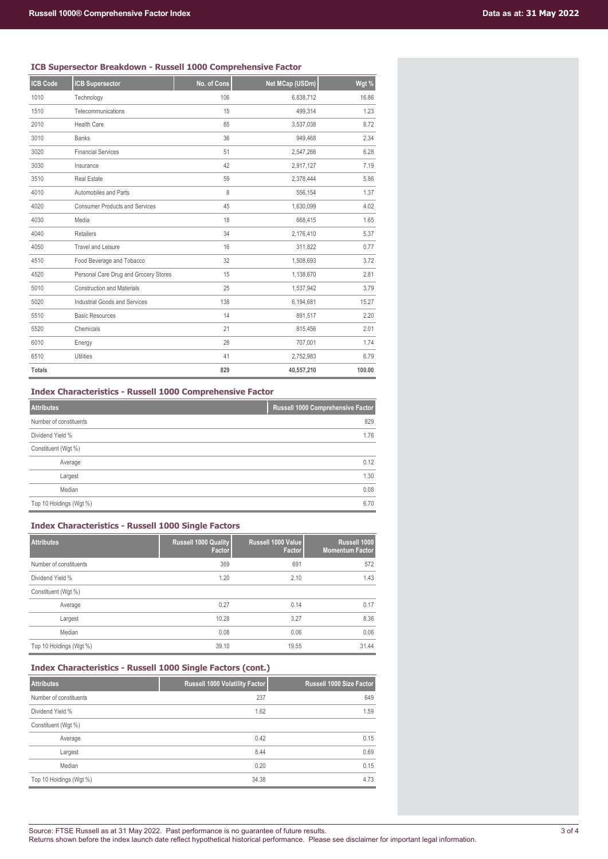## **ICB Supersector Breakdown - Russell 1000 Comprehensive Factor**

| <b>ICB Code</b> | <b>ICB Supersector</b>                | No. of Cons | Net MCap (USDm) | Wgt %  |
|-----------------|---------------------------------------|-------------|-----------------|--------|
| 1010            | Technology                            | 106         | 6,838,712       | 16.86  |
| 1510            | Telecommunications                    | 15          | 499,314         | 1.23   |
| 2010            | <b>Health Care</b>                    | 85          | 3,537,038       | 8.72   |
| 3010            | <b>Banks</b>                          | 36          | 949,468         | 2.34   |
| 3020            | <b>Financial Services</b>             | 51          | 2,547,266       | 6.28   |
| 3030            | Insurance                             | 42          | 2,917,127       | 7.19   |
| 3510            | <b>Real Estate</b>                    | 59          | 2,378,444       | 5.86   |
| 4010            | Automobiles and Parts                 | 8           | 556,154         | 1.37   |
| 4020            | <b>Consumer Products and Services</b> | 45          | 1,630,099       | 4.02   |
| 4030            | Media                                 | 18          | 668,415         | 1.65   |
| 4040            | <b>Retailers</b>                      | 34          | 2,176,410       | 5.37   |
| 4050            | <b>Travel and Leisure</b>             | 16          | 311,822         | 0.77   |
| 4510            | Food Beverage and Tobacco             | 32          | 1,508,693       | 3.72   |
| 4520            | Personal Care Drug and Grocery Stores | 15          | 1,138,670       | 2.81   |
| 5010            | <b>Construction and Materials</b>     | 25          | 1,537,942       | 3.79   |
| 5020            | <b>Industrial Goods and Services</b>  | 138         | 6,194,681       | 15.27  |
| 5510            | <b>Basic Resources</b>                | 14          | 891,517         | 2.20   |
| 5520            | Chemicals                             | 21          | 815,456         | 2.01   |
| 6010            | Energy                                | 28          | 707,001         | 1.74   |
| 6510            | <b>Utilities</b>                      | 41          | 2,752,983       | 6.79   |
| <b>Totals</b>   |                                       | 829         | 40,557,210      | 100.00 |

**Index Characteristics - Russell 1000 Comprehensive Factor**

| <b>Attributes</b>       | Russell 1000 Comprehensive Factor |
|-------------------------|-----------------------------------|
| Number of constituents  | 829                               |
| Dividend Yield %        | 1.76                              |
| Constituent (Wgt %)     |                                   |
| Average                 | 0.12                              |
| Largest                 | 1.30                              |
| Median                  | 0.08                              |
| Top 10 Holdings (Wgt %) | 6.70                              |

## **Index Characteristics - Russell 1000 Single Factors**

| <b>Attributes</b>       | <b>Russell 1000 Quality</b><br>Factor | Russell 1000 Value<br>Factor | Russell 1000<br><b>Momentum Factor</b> |
|-------------------------|---------------------------------------|------------------------------|----------------------------------------|
| Number of constituents  | 369                                   | 691                          | 572                                    |
| Dividend Yield %        | 1.20                                  | 2.10                         | 1.43                                   |
| Constituent (Wgt %)     |                                       |                              |                                        |
| Average                 | 0.27                                  | 0.14                         | 0.17                                   |
| Largest                 | 10.28                                 | 3.27                         | 8.36                                   |
| Median                  | 0.08                                  | 0.06                         | 0.06                                   |
| Top 10 Holdings (Wgt %) | 39.10                                 | 19.55                        | 31.44                                  |

| <b>Attributes</b>       | Russell 1000 Volatility Factor | Russell 1000 Size Factor |
|-------------------------|--------------------------------|--------------------------|
| Number of constituents  | 237                            | 649                      |
| Dividend Yield %        | 1.62                           | 1.59                     |
| Constituent (Wgt %)     |                                |                          |
| Average                 | 0.42                           | 0.15                     |
| Largest                 | 8.44                           | 0.69                     |
| Median                  | 0.20                           | 0.15                     |
| Top 10 Holdings (Wgt %) | 34.38                          | 4.73                     |